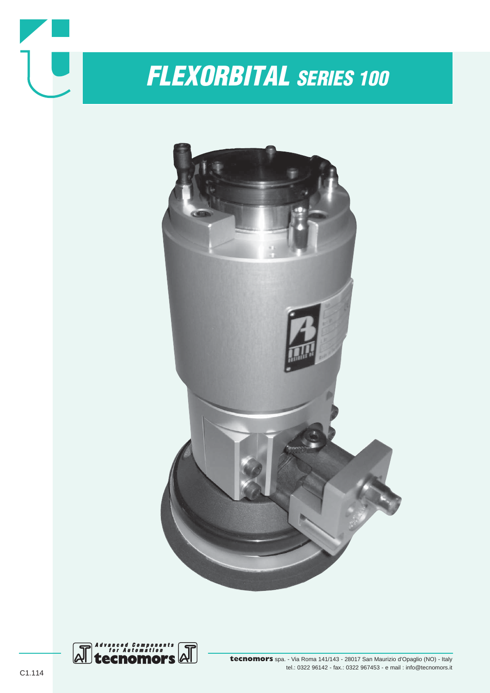



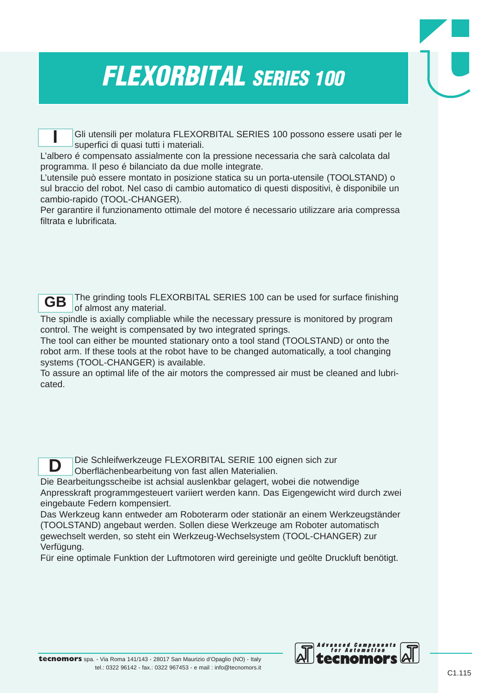Gli utensili per molatura FLEXORBITAL SERIES 100 possono essere usati per le superfici di quasi tutti i materiali.

L'albero é compensato assialmente con la pressione necessaria che sarà calcolata dal programma. Il peso é bilanciato da due molle integrate.

L'utensile può essere montato in posizione statica su un porta-utensile (TOOLSTAND) o sul braccio del robot. Nel caso di cambio automatico di questi dispositivi, è disponibile un cambio-rapido (TOOL-CHANGER).

Per garantire il funzionamento ottimale del motore é necessario utilizzare aria compressa filtrata e lubrificata.

**GB**

**I**

The grinding tools FLEXORBITAL SERIES 100 can be used for surface finishing of almost any material.

The spindle is axially compliable while the necessary pressure is monitored by program control. The weight is compensated by two integrated springs.

The tool can either be mounted stationary onto a tool stand (TOOLSTAND) or onto the robot arm. If these tools at the robot have to be changed automatically, a tool changing systems (TOOL-CHANGER) is available.

To assure an optimal life of the air motors the compressed air must be cleaned and lubricated.



Die Schleifwerkzeuge FLEXORBITAL SERIE 100 eignen sich zur Oberflächenbearbeitung von fast allen Materialien.

Die Bearbeitungsscheibe ist achsial auslenkbar gelagert, wobei die notwendige Anpresskraft programmgesteuert variiert werden kann. Das Eigengewicht wird durch zwei eingebaute Federn kompensiert.

Das Werkzeug kann entweder am Roboterarm oder stationär an einem Werkzeugständer (TOOLSTAND) angebaut werden. Sollen diese Werkzeuge am Roboter automatisch gewechselt werden, so steht ein Werkzeug-Wechselsystem (TOOL-CHANGER) zur Verfügung.

Für eine optimale Funktion der Luftmotoren wird gereinigte und geölte Druckluft benötigt.

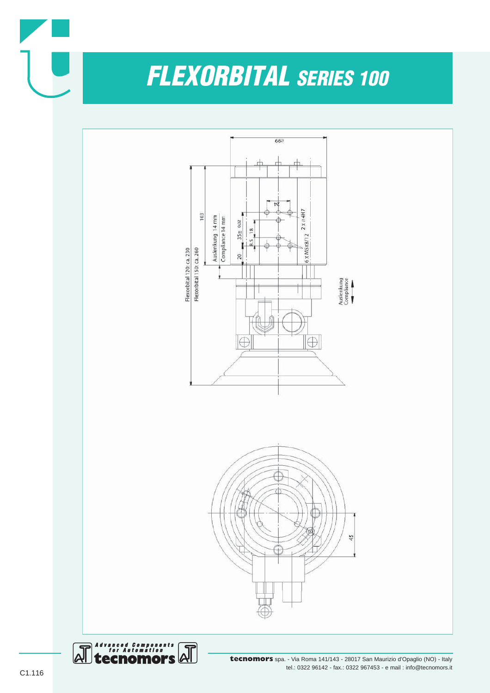

**tecnomors** spa. - Via Roma 141/143 - 28017 San Maurizio d'Opaglio (NO) - Italy tel.: 0322 96142 - fax.: 0322 967453 - e mail : info@tecnomors.it